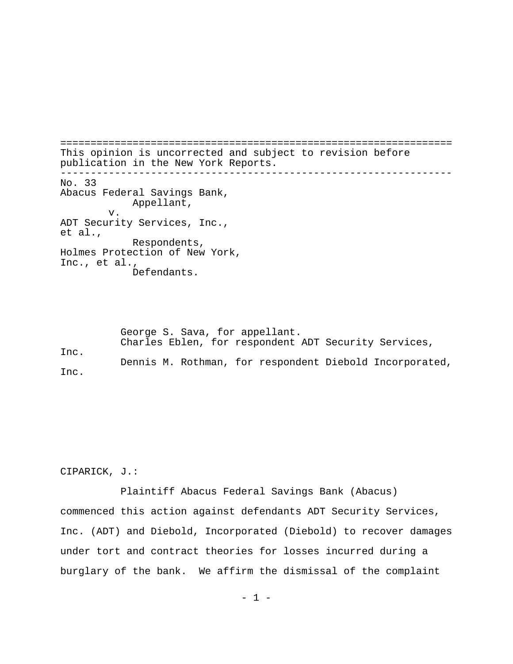================================================================= This opinion is uncorrected and subject to revision before publication in the New York Reports. ----------------------------------------------------------------- No. 33 Abacus Federal Savings Bank, Appellant, v. ADT Security Services, Inc., et al., Respondents, Holmes Protection of New York, Inc., et al., Defendants.

George S. Sava, for appellant. Charles Eblen, for respondent ADT Security Services, Inc. Dennis M. Rothman, for respondent Diebold Incorporated, Inc.

CIPARICK, J.:

Plaintiff Abacus Federal Savings Bank (Abacus) commenced this action against defendants ADT Security Services, Inc. (ADT) and Diebold, Incorporated (Diebold) to recover damages under tort and contract theories for losses incurred during a burglary of the bank. We affirm the dismissal of the complaint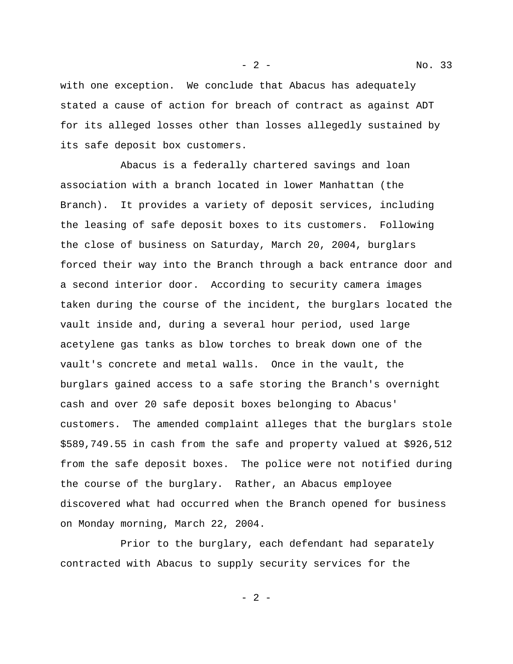- 2 - No. 33

with one exception. We conclude that Abacus has adequately stated a cause of action for breach of contract as against ADT for its alleged losses other than losses allegedly sustained by its safe deposit box customers.

Abacus is a federally chartered savings and loan association with a branch located in lower Manhattan (the Branch). It provides a variety of deposit services, including the leasing of safe deposit boxes to its customers. Following the close of business on Saturday, March 20, 2004, burglars forced their way into the Branch through a back entrance door and a second interior door. According to security camera images taken during the course of the incident, the burglars located the vault inside and, during a several hour period, used large acetylene gas tanks as blow torches to break down one of the vault's concrete and metal walls. Once in the vault, the burglars gained access to a safe storing the Branch's overnight cash and over 20 safe deposit boxes belonging to Abacus' customers. The amended complaint alleges that the burglars stole \$589,749.55 in cash from the safe and property valued at \$926,512 from the safe deposit boxes. The police were not notified during the course of the burglary. Rather, an Abacus employee discovered what had occurred when the Branch opened for business on Monday morning, March 22, 2004.

Prior to the burglary, each defendant had separately contracted with Abacus to supply security services for the

- 2 -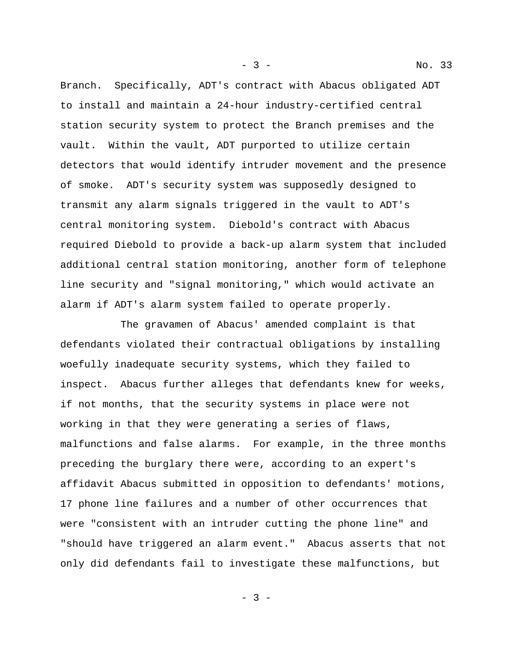Branch. Specifically, ADT's contract with Abacus obligated ADT to install and maintain a 24-hour industry-certified central station security system to protect the Branch premises and the vault. Within the vault, ADT purported to utilize certain detectors that would identify intruder movement and the presence of smoke. ADT's security system was supposedly designed to transmit any alarm signals triggered in the vault to ADT's central monitoring system. Diebold's contract with Abacus required Diebold to provide a back-up alarm system that included additional central station monitoring, another form of telephone line security and "signal monitoring," which would activate an alarm if ADT's alarm system failed to operate properly.

The gravamen of Abacus' amended complaint is that defendants violated their contractual obligations by installing woefully inadequate security systems, which they failed to inspect. Abacus further alleges that defendants knew for weeks, if not months, that the security systems in place were not working in that they were generating a series of flaws, malfunctions and false alarms. For example, in the three months preceding the burglary there were, according to an expert's affidavit Abacus submitted in opposition to defendants' motions, 17 phone line failures and a number of other occurrences that were "consistent with an intruder cutting the phone line" and "should have triggered an alarm event." Abacus asserts that not only did defendants fail to investigate these malfunctions, but

- 3 -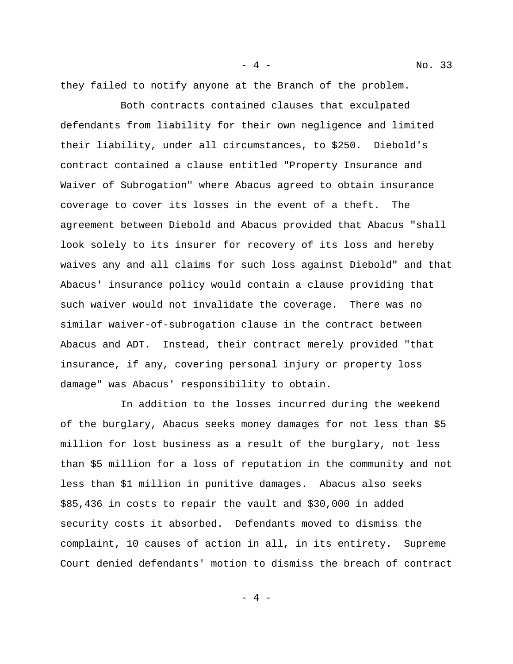they failed to notify anyone at the Branch of the problem.

Both contracts contained clauses that exculpated defendants from liability for their own negligence and limited their liability, under all circumstances, to \$250. Diebold's contract contained a clause entitled "Property Insurance and Waiver of Subrogation" where Abacus agreed to obtain insurance coverage to cover its losses in the event of a theft. The agreement between Diebold and Abacus provided that Abacus "shall look solely to its insurer for recovery of its loss and hereby waives any and all claims for such loss against Diebold" and that Abacus' insurance policy would contain a clause providing that such waiver would not invalidate the coverage. There was no similar waiver-of-subrogation clause in the contract between Abacus and ADT. Instead, their contract merely provided "that insurance, if any, covering personal injury or property loss damage" was Abacus' responsibility to obtain.

In addition to the losses incurred during the weekend of the burglary, Abacus seeks money damages for not less than \$5 million for lost business as a result of the burglary, not less than \$5 million for a loss of reputation in the community and not less than \$1 million in punitive damages. Abacus also seeks \$85,436 in costs to repair the vault and \$30,000 in added security costs it absorbed. Defendants moved to dismiss the complaint, 10 causes of action in all, in its entirety. Supreme Court denied defendants' motion to dismiss the breach of contract

 $-4 -$ 

- 4 - No. 33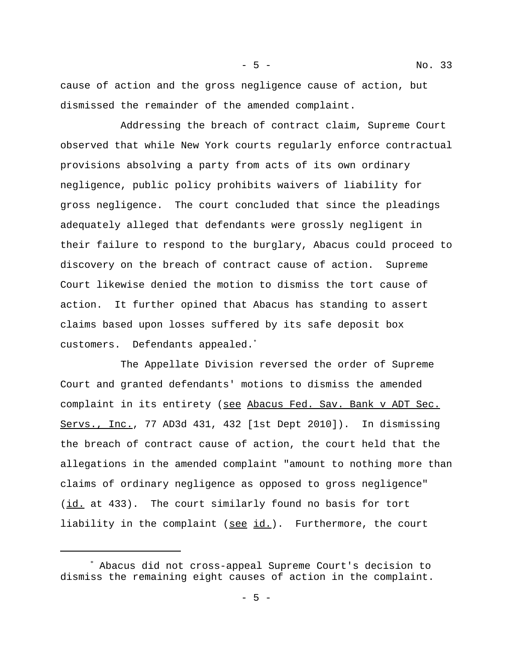cause of action and the gross negligence cause of action, but dismissed the remainder of the amended complaint.

Addressing the breach of contract claim, Supreme Court observed that while New York courts regularly enforce contractual provisions absolving a party from acts of its own ordinary negligence, public policy prohibits waivers of liability for gross negligence. The court concluded that since the pleadings adequately alleged that defendants were grossly negligent in their failure to respond to the burglary, Abacus could proceed to discovery on the breach of contract cause of action. Supreme Court likewise denied the motion to dismiss the tort cause of action. It further opined that Abacus has standing to assert claims based upon losses suffered by its safe deposit box customers. Defendants appealed.\*

The Appellate Division reversed the order of Supreme Court and granted defendants' motions to dismiss the amended complaint in its entirety (see Abacus Fed. Sav. Bank v ADT Sec. Servs., Inc., 77 AD3d 431, 432 [1st Dept 2010]). In dismissing the breach of contract cause of action, the court held that the allegations in the amended complaint "amount to nothing more than claims of ordinary negligence as opposed to gross negligence" (id. at 433). The court similarly found no basis for tort liability in the complaint (see id.). Furthermore, the court

<sup>\*</sup> Abacus did not cross-appeal Supreme Court's decision to dismiss the remaining eight causes of action in the complaint.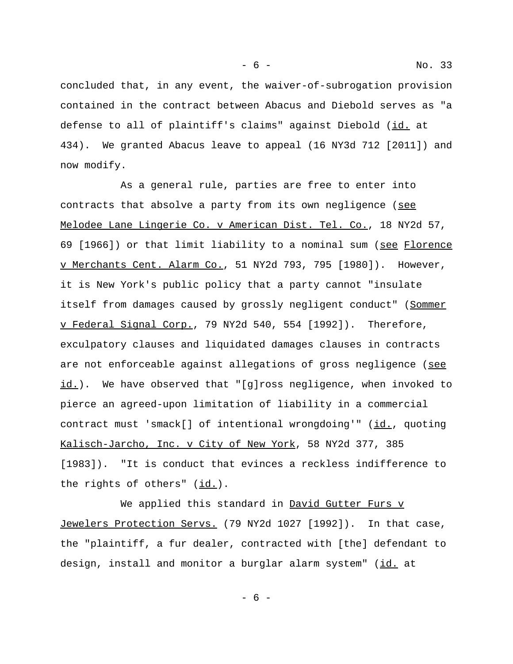concluded that, in any event, the waiver-of-subrogation provision contained in the contract between Abacus and Diebold serves as "a defense to all of plaintiff's claims" against Diebold (id. at 434). We granted Abacus leave to appeal (16 NY3d 712 [2011]) and now modify.

As a general rule, parties are free to enter into contracts that absolve a party from its own negligence (see Melodee Lane Lingerie Co. v American Dist. Tel. Co., 18 NY2d 57, 69 [1966]) or that limit liability to a nominal sum (see Florence v Merchants Cent. Alarm Co., 51 NY2d 793, 795 [1980]). However, it is New York's public policy that a party cannot "insulate itself from damages caused by grossly negligent conduct" (Sommer v Federal Signal Corp., 79 NY2d 540, 554 [1992]). Therefore, exculpatory clauses and liquidated damages clauses in contracts are not enforceable against allegations of gross negligence (see  $id.$ ). We have observed that "[g]ross negligence, when invoked to pierce an agreed-upon limitation of liability in a commercial contract must 'smack[] of intentional wrongdoing'" (id., quoting Kalisch-Jarcho, Inc. v City of New York, 58 NY2d 377, 385 [1983]). "It is conduct that evinces a reckless indifference to the rights of others"  $(id.)$ .

We applied this standard in David Gutter Furs v Jewelers Protection Servs. (79 NY2d 1027 [1992]). In that case, the "plaintiff, a fur dealer, contracted with [the] defendant to design, install and monitor a burglar alarm system" (id. at

- 6 -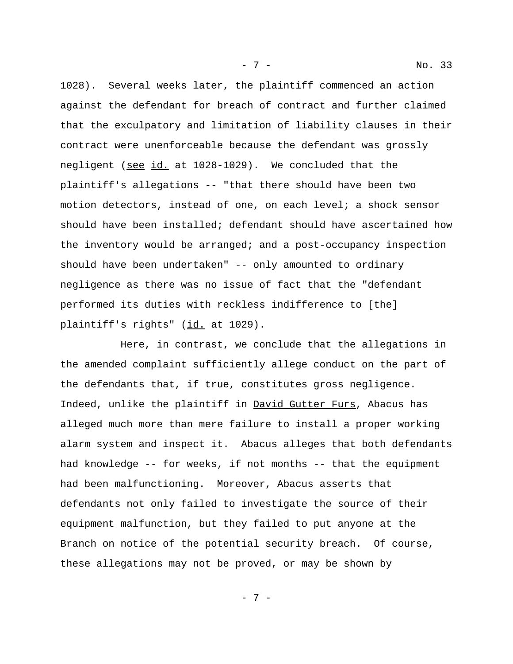1028). Several weeks later, the plaintiff commenced an action against the defendant for breach of contract and further claimed that the exculpatory and limitation of liability clauses in their contract were unenforceable because the defendant was grossly negligent (see id. at 1028-1029). We concluded that the plaintiff's allegations -- "that there should have been two motion detectors, instead of one, on each level; a shock sensor should have been installed; defendant should have ascertained how the inventory would be arranged; and a post-occupancy inspection should have been undertaken" -- only amounted to ordinary negligence as there was no issue of fact that the "defendant performed its duties with reckless indifference to [the] plaintiff's rights" (id. at 1029).

Here, in contrast, we conclude that the allegations in the amended complaint sufficiently allege conduct on the part of the defendants that, if true, constitutes gross negligence. Indeed, unlike the plaintiff in David Gutter Furs, Abacus has alleged much more than mere failure to install a proper working alarm system and inspect it. Abacus alleges that both defendants had knowledge -- for weeks, if not months -- that the equipment had been malfunctioning. Moreover, Abacus asserts that defendants not only failed to investigate the source of their equipment malfunction, but they failed to put anyone at the Branch on notice of the potential security breach. Of course, these allegations may not be proved, or may be shown by

- 7 -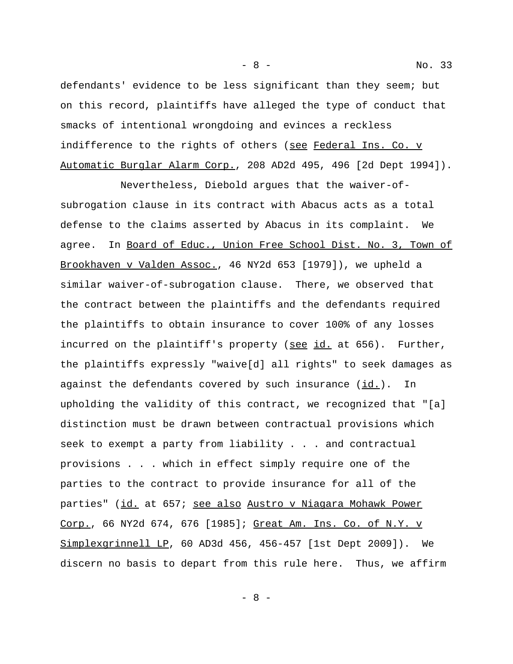defendants' evidence to be less significant than they seem; but on this record, plaintiffs have alleged the type of conduct that smacks of intentional wrongdoing and evinces a reckless indifference to the rights of others (see Federal Ins. Co. v Automatic Burglar Alarm Corp., 208 AD2d 495, 496 [2d Dept 1994]).

Nevertheless, Diebold argues that the waiver-ofsubrogation clause in its contract with Abacus acts as a total defense to the claims asserted by Abacus in its complaint. We agree. In Board of Educ., Union Free School Dist. No. 3, Town of Brookhaven v Valden Assoc., 46 NY2d 653 [1979]), we upheld a similar waiver-of-subrogation clause. There, we observed that the contract between the plaintiffs and the defendants required the plaintiffs to obtain insurance to cover 100% of any losses incurred on the plaintiff's property (see id. at 656). Further, the plaintiffs expressly "waive[d] all rights" to seek damages as against the defendants covered by such insurance  $(id.)$ . In upholding the validity of this contract, we recognized that "[a] distinction must be drawn between contractual provisions which seek to exempt a party from liability . . . and contractual provisions . . . which in effect simply require one of the parties to the contract to provide insurance for all of the parties" (id. at 657; see also Austro v Niagara Mohawk Power Corp., 66 NY2d 674, 676 [1985]; Great Am. Ins. Co. of N.Y. v Simplexgrinnell LP, 60 AD3d 456, 456-457 [1st Dept 2009]). We discern no basis to depart from this rule here. Thus, we affirm

- 8 - No. 33

- 8 -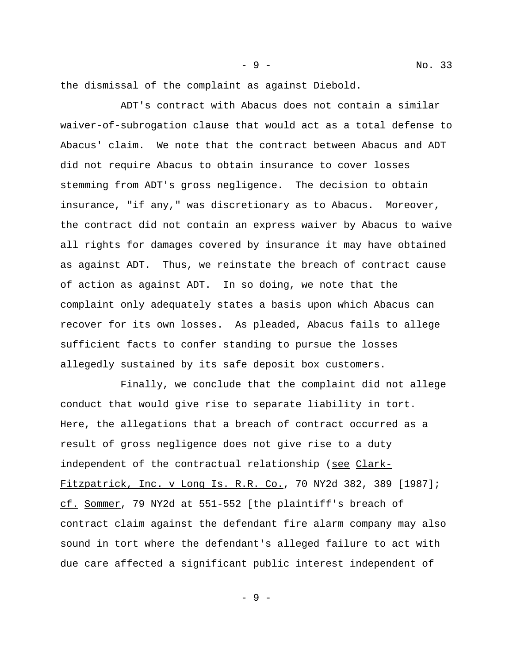the dismissal of the complaint as against Diebold.

ADT's contract with Abacus does not contain a similar waiver-of-subrogation clause that would act as a total defense to Abacus' claim. We note that the contract between Abacus and ADT did not require Abacus to obtain insurance to cover losses stemming from ADT's gross negligence. The decision to obtain insurance, "if any," was discretionary as to Abacus. Moreover, the contract did not contain an express waiver by Abacus to waive all rights for damages covered by insurance it may have obtained as against ADT. Thus, we reinstate the breach of contract cause of action as against ADT. In so doing, we note that the complaint only adequately states a basis upon which Abacus can recover for its own losses. As pleaded, Abacus fails to allege sufficient facts to confer standing to pursue the losses allegedly sustained by its safe deposit box customers.

Finally, we conclude that the complaint did not allege conduct that would give rise to separate liability in tort. Here, the allegations that a breach of contract occurred as a result of gross negligence does not give rise to a duty independent of the contractual relationship (see Clark-Fitzpatrick, Inc. v Long Is. R.R. Co., 70 NY2d 382, 389 [1987]; cf. Sommer, 79 NY2d at 551-552 [the plaintiff's breach of contract claim against the defendant fire alarm company may also sound in tort where the defendant's alleged failure to act with due care affected a significant public interest independent of

- 9 - No. 33

- 9 -